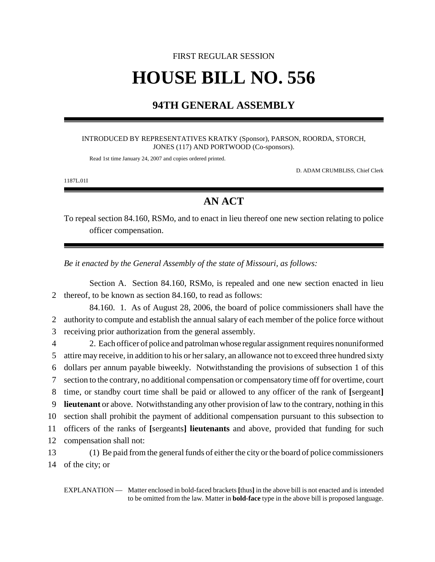# FIRST REGULAR SESSION **HOUSE BILL NO. 556**

### **94TH GENERAL ASSEMBLY**

#### INTRODUCED BY REPRESENTATIVES KRATKY (Sponsor), PARSON, ROORDA, STORCH, JONES (117) AND PORTWOOD (Co-sponsors).

Read 1st time January 24, 2007 and copies ordered printed.

D. ADAM CRUMBLISS, Chief Clerk

1187L.01I

## **AN ACT**

To repeal section 84.160, RSMo, and to enact in lieu thereof one new section relating to police officer compensation.

*Be it enacted by the General Assembly of the state of Missouri, as follows:*

Section A. Section 84.160, RSMo, is repealed and one new section enacted in lieu 2 thereof, to be known as section 84.160, to read as follows:

84.160. 1. As of August 28, 2006, the board of police commissioners shall have the 2 authority to compute and establish the annual salary of each member of the police force without 3 receiving prior authorization from the general assembly.

 2. Each officer of police and patrolman whose regular assignment requires nonuniformed attire may receive, in addition to his or her salary, an allowance not to exceed three hundred sixty dollars per annum payable biweekly. Notwithstanding the provisions of subsection 1 of this section to the contrary, no additional compensation or compensatory time off for overtime, court time, or standby court time shall be paid or allowed to any officer of the rank of **[**sergeant**] lieutenant** or above. Notwithstanding any other provision of law to the contrary, nothing in this section shall prohibit the payment of additional compensation pursuant to this subsection to officers of the ranks of **[**sergeants**] lieutenants** and above, provided that funding for such compensation shall not:

13 (1) Be paid from the general funds of either the city or the board of police commissioners 14 of the city; or

EXPLANATION — Matter enclosed in bold-faced brackets **[**thus**]** in the above bill is not enacted and is intended to be omitted from the law. Matter in **bold-face** type in the above bill is proposed language.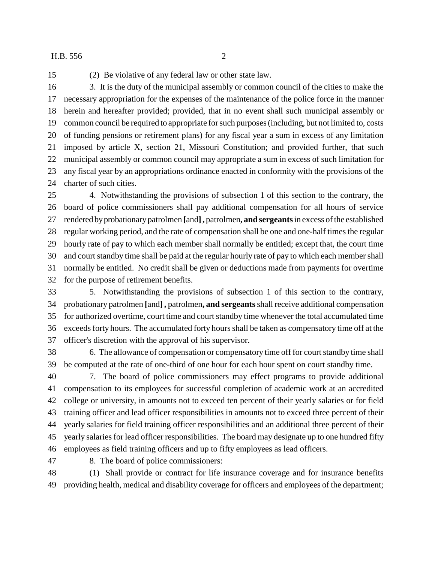#### H.B. 556 2

(2) Be violative of any federal law or other state law.

 3. It is the duty of the municipal assembly or common council of the cities to make the necessary appropriation for the expenses of the maintenance of the police force in the manner herein and hereafter provided; provided, that in no event shall such municipal assembly or common council be required to appropriate for such purposes (including, but not limited to, costs of funding pensions or retirement plans) for any fiscal year a sum in excess of any limitation imposed by article X, section 21, Missouri Constitution; and provided further, that such municipal assembly or common council may appropriate a sum in excess of such limitation for any fiscal year by an appropriations ordinance enacted in conformity with the provisions of the charter of such cities.

 4. Notwithstanding the provisions of subsection 1 of this section to the contrary, the board of police commissioners shall pay additional compensation for all hours of service rendered by probationary patrolmen **[**and**],** patrolmen**, and sergeants** in excess of the established regular working period, and the rate of compensation shall be one and one-half times the regular hourly rate of pay to which each member shall normally be entitled; except that, the court time and court standby time shall be paid at the regular hourly rate of pay to which each member shall normally be entitled. No credit shall be given or deductions made from payments for overtime for the purpose of retirement benefits.

 5. Notwithstanding the provisions of subsection 1 of this section to the contrary, probationary patrolmen **[**and**] ,** patrolmen**, and sergeants** shall receive additional compensation for authorized overtime, court time and court standby time whenever the total accumulated time exceeds forty hours. The accumulated forty hours shall be taken as compensatory time off at the officer's discretion with the approval of his supervisor.

 6. The allowance of compensation or compensatory time off for court standby time shall be computed at the rate of one-third of one hour for each hour spent on court standby time.

 7. The board of police commissioners may effect programs to provide additional compensation to its employees for successful completion of academic work at an accredited college or university, in amounts not to exceed ten percent of their yearly salaries or for field training officer and lead officer responsibilities in amounts not to exceed three percent of their yearly salaries for field training officer responsibilities and an additional three percent of their yearly salaries for lead officer responsibilities. The board may designate up to one hundred fifty employees as field training officers and up to fifty employees as lead officers.

8. The board of police commissioners:

 (1) Shall provide or contract for life insurance coverage and for insurance benefits providing health, medical and disability coverage for officers and employees of the department;